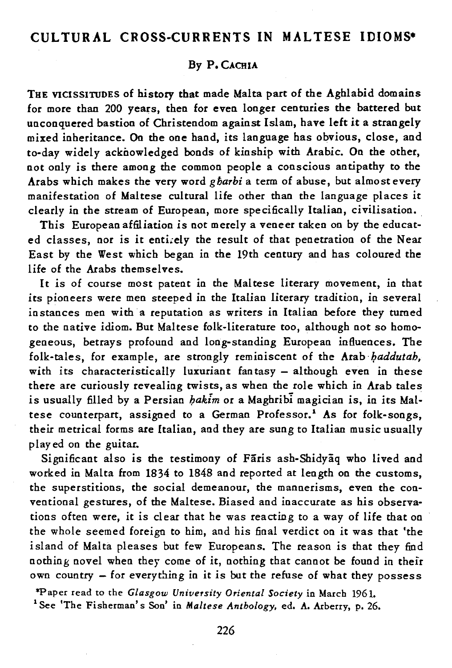# **CULTURAL CROSS-CURRENTS IN MALTESE IDIOMS·**

## By P.CACHIA

THE VICISSITUDES of history that made Malta part of the Aghlabid domains for more than 200 years, then for even longer centuries the battered but unconquered bastion of Christendom against Islam, have left it a strangely mixed inheritance. On the one hand, its language has obvious, close, and to-day widely acknowledged bonds of kinship with Arabic. On the other, not only is there among the common people a conscious antipathy to the Arabs which makes the very word *gbarbi* a term of abuse, but almost every manifestation of Maltese cultural life other than the language places it clearly in the stream of European, more specifically Italian, civilisation.

This European affiliation is not merely a veneer taken on by the educated classes, nor is it entirely the result of that penetration of the Near East by the West which began in the 19th century and has coloured the life of the Arabs themselves.

It is of course most patent in the Maltese literary movement, in that its pioneers were men steeped in the Italian literary tradition, in several instances men with a reputation as writers in Italian before they turned to the native idiom. But Maltese folk-literature too, although not so homogeneous, betrays profound and long-standing European influences. The folk-tales, for example, are strongly reminiscent of the Arab *haddutah*. with its characteristically luxuriant fantasy  $-$  although even in these there are curiously revealing twists, as when the role which in Arab tales is usually filled by a Persian *bakim* or a Maghribi magician is, in its Maltese counterpart, assigned to a German Professor.' As for folk-songs, their metrical forms are Italian, and they are sung to Italian music usually played on the guitar.

Significant also is the testimony of Faris ash-Shidyaq who lived and worked in Malta from 1834 to 1848 and reported at length on the customs, the superstitions, the social demeanour, the mannerisms, even the conventional gestures, of the Maltese. Biased and inaccurate as his observations often were, it is clear that he was reacting to a way of life that on the whole seemed foreign to him, and his final verdict on it was that 'the island of Malta pleases but few Europeans. The reason is that they find nothing novel when they come of it, nothing that cannot be found in their own country - for everything in it is but the refuse of what they possess

\*Paper read to the *Glasgow University Oriental Society* in March 1961. 1 See 'The Fisherman's Son' in *Maltese Anthology,* ed. A. Arberry, p. 26.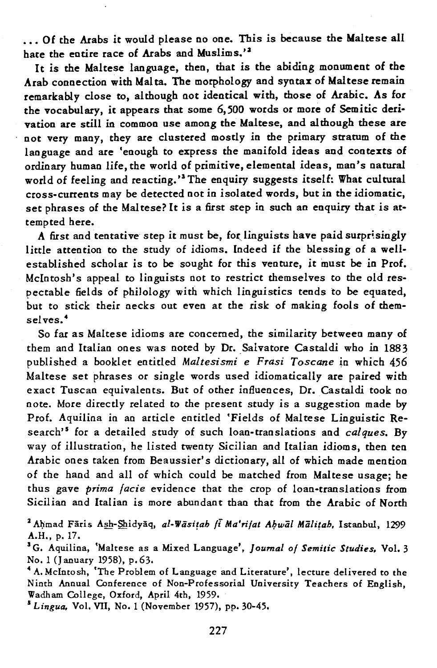... Of the Arabs it would please no one. This is because the Maltese all hate the entire race of Arabs and Muslims.'2

It is the Maltese language, then, that is the abiding monument of the Arab connection with Malta. The morphology and syntax of Maltese remain remarkably close to, although not identical with, those of Arabic. As for the vocabulary, it appears that some 6,500 words or more of Semitic derivation are still in common use among the Maltese, and although these are not very many, they are clustered mostly in the primary stratum of the language and are 'enough to express the manifold ideas and contexts of ordinary human life, the world of primitive, elemental ideas, man's natural world of feeling and reacting.' The enquiry suggests itself: What cultural cross-currents may be detected not in isolated words, but in the idiomatic, set phrases of the Maltese? It is a first step in such an enquiry that is attempted here.

A first and tentative step it must be, for linguists have paid surprisingly little attention to the study of *idioms.* Indeed if the blessing of a wellestablished scholar *is* to be sought for this venture, it must be in Prof. Mclntosh's appeal to linguists not to restrict themselves to the old respectable fields of philology with which *linguistics* tends to be equated, but to stick their necks out even at the risk of making fools of themselves. <sup>4</sup>

So far as Maltese idioms are concerned, the similarity between many of them and Italian ones was noted by Dr. Salvatore Castaldi who in 1883 published a booklet entitled *Maltesismi e Frasi Toscane* in which 456 Maltese set phrases or single words used idiomatically are paired with exact Tuscan equivalents. But of other influences, Dr. Castaldi took no note. More directly related to the present study *is* a suggestion made by Prof. Aquilina *in* an article entitled 'Fields of Maltese Linguistic Research's for a detailed study of such loan-translations and *calques.* By way of illustration, he listed twenty Sicilian and Italian idioms, then ten Arabic ones taken from Beaussier's dictionary, all of which made mention of the hand and all of which could be matched from Maltese usage; he thus gave *prima facie* evidence that the crop of loan-translations from *Sicilian* and Italian is more abundant than that from the Arabic of North

<sup>2</sup> Ahmad Fāris Ash-Shidyāq, *al-Wāsitah fi Ma'rifat Abwāl Mālitah*, Istanbul, 1299 A.H., p. 17.

sG. Aquilina, 'Maltese as a Mixed Language', *Journal of Semitic Studies.* Vol. 3 No. 1 (J anuary 1958), p.63.

4 A. Mclntosh, 'The Problem of Language and Literature', lecture delivered to the Ninth Annual Conference of Non-Professorial University Teachers of English, Wadham College, Oxford, April 4th, 1959.

<sup>S</sup>*Lingua,* Vol. VII, No. 1 (November 1957), pp. 30-45.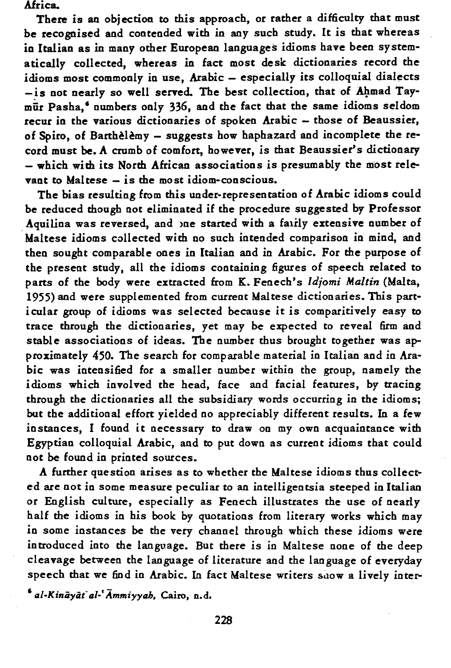Africa.

There is an objection to this approach, or rather a difficulty that must be recognised and contended with in any such study. It is that whereas in Italian as in many other European languages idioms have been systematically collected, whereas in fact most desk dictionaries record the idioms most commonly in use, Arabic - especially its colloquial dialects - is not nearly so well served. The best collection, that of Ahmad Taymar Pasha,' numbers only 336, and the fact that the same idioms seldom recur in the various dictionaries of spoken Arabic - those of Beaussier, of Spiro, of Barthèlèmy - suggests how haphazard and incomplete the record must be. A crumb of comfort, however, is that Beaussier's dictionary - which with its North African associations is presumably the most relevant to Maltese  $-$  is the most idiom-conscious.

The bias resulting from this under-representation of Arabic idioms could be reduced though not eliminated if the procedure suggested by Professor Aquilina was reversed, and one started with a fairly extensive number of Maltese idioms collected with no such intended comparison in mind, and then sought comparable ones in Italian and in Arabic. For the purpose of the present study, all the idioms containing figures of speech related to parts of the body were extracted from K. Fenech's *Idjomi Maltin* (Malta, 1955) and were supplemented from current Maltese dictionaries. This particular group of idioms was selected because it is comparitively easy to trace through the dictionaries, yet may be expected to reveal firm and stable associations of ideas. The number thus brought together was approximately 450. The search for comparable material in Italian and in Arabic was intensified for a smaller number within the group, namely the idioms which involved the head, face and facial features, by tracing through the dictionaries all the subsidiary words occurring in the idioms; but the additional effort yielded no appreciably different results. In a few instances, I found it necessary to draw on my own acquaintance with Egyptian colloquial Arabic, and to put down as current idioms that could not be found in printed sources.

A further question arises as to whether the Maltese idioms thus collected are not in some measure peculiar to an intelligentsia steeped in Italian or English culture, especially as Fenech illustrates the use of nearly half the idioms in his book by quotations from literary works which may in some instances be the very channel through which these idioms were introduced into the language. But there is in Maltese none of the deep cleavage between the language of literature and the language of everyday speech that we find in Arabic. In fact Maltese writers show a lively inter-

*'al.Kiniiyiifal.'Ammiyyah,* Cairo, n.d.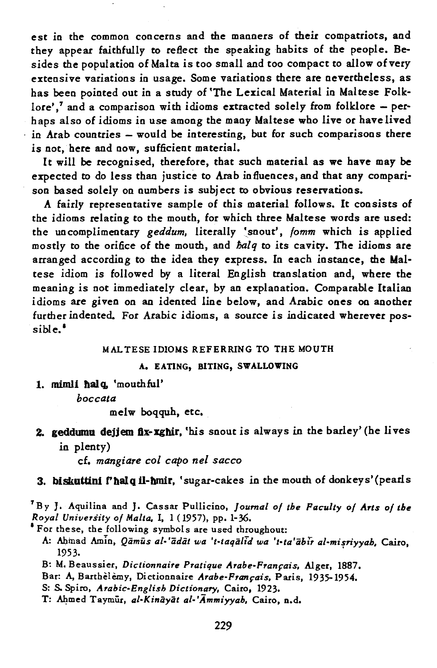est in the common concerns and the manners of their compatriots, and they appear faithfully to reflect the speaking habits of the people. Besides the population of Malta is too small and too compact to allow of very extensive variations in usage. Some variations there are nevertheless, as has been pointed out in a study of 'The Lexical Material in Maltese Folklore',<sup>7</sup> and a comparison with idioms extracted solely from folklore  $-$  perhaps also of idioms in use among the many Maltese who live or have lived in Arab countries - would be interesting, but for such comparisons there is not, here and now, sufficient material.

It will be recognised, therefore, that such material as we have may be expected to do less than justice to Arab influences, and that any comparison based solely on numbers is subject to obvious reservations.

A fairly representative sample of this material follows. It consists of the idioms relating to the mouth, for which three Maltese words are used: the uncomplimentary *geddum,* literally :snout', *fomm* which *is* applied mostly to the orifice of the mouth, and *lialq* to *its* cavity. The idioms are arranged according to the idea they express. In each instance, the Maltese idiom is followed by a literal English translation and, where the meaning is not immediately clear, by an explanation. Comparable Italian idioms are given on an idented line below, and Arabic ones on another further indented. For Arabic idioms, a source is indicated wherever possible. •

### MAL TESE IDIOMS REFERRING TO THE MOUTH

## A. EATING, BITING, SWALLOWING

1. mimli halq, 'mouthful'

*boccata* 

melw boqquh, etc.

Z. geddwnu dejjem flx-xghir, 'his snout is always in the barley' (be lives in plenty)

cf. *mangiare col capo nel sacco* 

# 3. biskuttini f'halq il-hmir, 'sugar-cakes in the mouth of donkeys'(pearls

fBy J. Aquilina and J. Cassar Pullicino, *Journal 01 the Paculty 01 Arts 01 the* 

<sup>8</sup> For these, the following symbols are used throughout:

A: Ahinad AmIn, *Qamus al- 'adat wa 't·taqalid wa 't-ta'abir al-mifriyyah,* Cairo, 1953.

B: M. Beaussier, *Dictionnaire Pratique Arabe-Pranrais,* Alger, 1887.

Bar: A, Barthelemy, Dictionnaire *Arabe-Français*, Paris, 1935-1954.

S: S. Spiro, *Arabic-English Dictionary*, Cairo, 1923.

T: Ahmed Taymur, *al-Kinayat al-'Ammiyyah*, Cairo, n.d.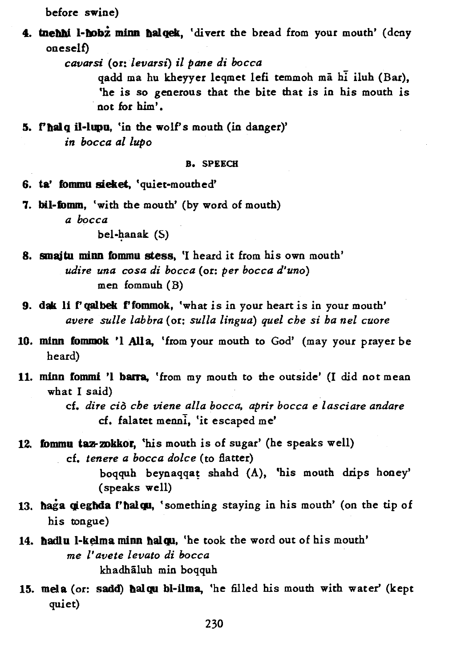before swine)

4. tnehhi I-hobz minn halqek, 'divert the bread from your mouth' (deny oneself)

*cavarsi* (or: *levarsl)* il *pane di bocca* 

qadd ma hu kheyyer leqmet lefi temmoh ma hi iluh (Bar), 'he is so generous that the bite that is in his mouth is . not for him'.

5. f'halq il-lupu, 'in the wolf's mouth (in danger)' *in bocca al lupo* 

#### B. SPEECH

- 6. ta' fommu sieket, 'quiet-mouthed'
- 7. bil-fomm, 'with the mouth' (by word of mouth) *a bocca*

 $bel-handk$  (S)

- 8. smajtu minn fommu stess, 'I heard it from his own mouth' *udire una cosa di bocca* (or: *per bocca d'uno)*  men fommuh (B)
- 9. dak li f'qalbek f'fommok, 'what is in your heart is in your mouth' *avere sulle labbra* (or: *sulla lingua) quel cbe si ba nel cuore*
- 10. minn fommok 'l Alla, 'from your mouth to God' (may your prayer be heard)
- 11. minn fommi 'l barra, 'from my mouth to the outside' (I did not mean what I said)

cf. *dire* cia *cbe viene alla bocca, aprir bocca* e *lasciare andare*  cf. falatet menni, 'it escaped me'

12. fommu taz-zokkor, 'his mouth is of sugar' (he speaks well) cf. *tenere a bocca dolce* (to flatter)

> boqquh beynaqqat shahd (A), 'his mouth drips honey' (speaks well)

- 13. haga gieghda f'halgu, 'something staying in his mouth' (on the tip of his tongue)
- 14. hadlu l-kelma minn halqu, 'he took the word out of his mouth' me *I' avete levato di bocca*  khadhaluh min boqquh
- 15. mela (or: sadd) balqu bl-ilma, 'he filled his mouth with water' (kept quiet)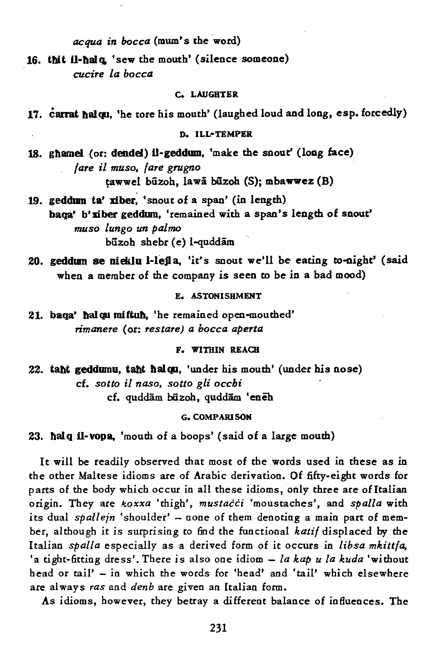*acqua in bocca* (mum's the word)

16. tbit il-balq, 'sew the mouth' (silence someone) *cucire la bocca* 

### C. LAUGHTER

17. carrat balqu, 'he tore his mouth' (laughed loud and long, esp. forcedly)

#### D. ILL-TEMPER

- 18. gflame! (or: dendel) il-geddum, 'make the snout' (long face) *fare* il *muso, fare grugno*  tawwel būzoh, lawā būzoh (S); mbawwez (B)
- 19. geddum ta' xiber, 'snout of a span' (in length) baga' b'xiber geddum, 'remained with a span's length of snout' *muso lungo un palmo*  būzoh shebr (e) l-quddām
- 20. geddum se nieklu l-lejla, 'it's snout we'll be eating to-oight' (said when a member of the company is seen to be in a bad mood)

## E. ASTONISHMENT

21. baqa' balqu miftub, 'he remained open-mouthed' *rimanere* (or: *restare) a bocca aperta* 

## F. WITHIN REAQI

22. taht geddumu, taht halqu, 'under his mouth' (under his nose) cf. *sotto il naso, sotto gli occbi*  cf. quddām būzoh, quddām 'eneh

#### G. COMPARISON

23. balq il-vopa, 'mouth of a boops' (said of a large mouth)

It will be readily observed that most of the words used in these as in the other Maltese idioms are of Arabic derivation. Of fifty-eight words for parts of the body which occur in all these idioms, only three are of Italian origin. They are *koxxa* 'thigh', *mustacci* 'moustaches', and *spalla* with its dual *spallejn* 'shoulder' - none of them denoting a main part of member, although it is surprising to find the functional *katif* displaced by the Italian *spalla* especially as a derived form of it occurs in *libsa mkittfa,*  'a tight-fitting dress'. There is also one idiom - *la kap u la kuda* 'without head or tail' - in which the words for 'head' and 'tail' which elsewhere are always *ras* and *denb* are given an Italian form.

As idioms, however, they betray a different balance of influences. The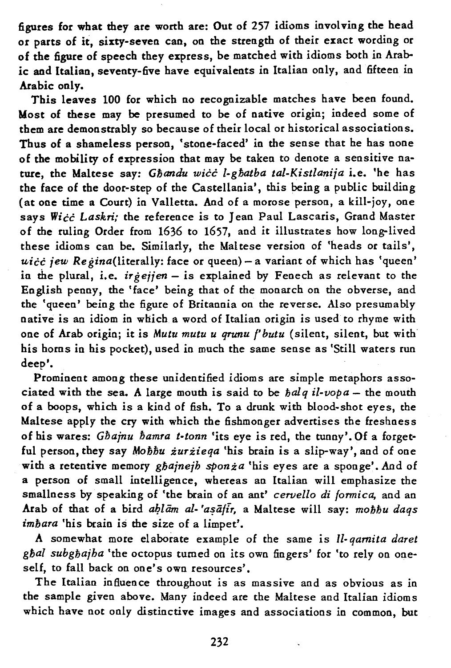figures for what they are worth are: Out of 257 idioms involving the head or parts of it, sixty-seven can, on the strength of their exact wording or of the figure of speech they express, be matched with idioms both in Arabic and Italian, seventy-five have equivalents in Italian only, and fifteen in Arabic only.

This leaves 100 for which no recognizable matches have been found. Most of these may be presumed to be of native origin; indeed some of them are demonstrably so because of their local or historical associations. Thus of a shameless person, 'stone-faced' in the sense that he has none of the mobility of expression that may be taken to denote a sensitive nature, the Maltese say: *Gbandu wicc l-gbatba tal-Kistlanija* i.e. 'he has the face of the door-step of the Castellania', this being a public building (at one time a Court) in Valletta. And of a morose person, a kill-joy, one says *Wicc Laskri:* the reference is to Jean Paul Lascaris, Grand Master of the ruling Order from 1636 to 1657, and it illustrates how long-lived these idioms can be. Similarly, the Maltese version of 'heads or tails', *uicc jew Regina*(literally: face or queen) - a variant of which has 'queen' in the plural, i.e. *irgejjen* - is explained by Fenech as relevant to the English penny, the 'face' being that of the monarch on the obverse, and the 'queen' being the figure of Britannia on the reverse. Also presumably native is an idiom in which a word of Italian origin is used to rhyme with one of Arab origin; it is *Mutu mutu u qrunu f'butu* (silent, silent, but with his horns in his pocket), used in much the same sense as 'Still waters run deep'.

Prominent among these unidentified idioms are simple metaphors associated with the sea. A large mouth is said to be  $\frac{1}{b}$ al-vopa - the mouth of a boops, which is a kind of fish. To a drunk with blood-shot eyes, the Maltese apply the cry with which the fishmonger advertises the freshness of his wares: *Gbajnu bamra t-tonn* 'its eye is red, the tunny'. Of a forgetful person, they say *Mobbu zurzieqa* 'his brain is a slip-way', and of one with a retentive memory *gbajnejb sponza* 'his eyes are a sponge'. And of a person of small intelligence, whereas an Italian will emphasize the smallness by speaking of 'the brain of an ant' *cervello di fonnica,* and an Arab of that of a bird *ahlām al-'asāfir*, a Maltese will say: mohhu daqs *imbara* 'his brain is the size of a limpet'.

A somewhat more elaborate example of the same is *ll- qamita daret gbal subgbajba* 'the octopus turned on its own fingers' for 'to rely on oneself, to fall back on one's own resources'.

The Italian influence throughout is as massive and as obvious as in the sample given above. Many indeed are the Maltese and Italian idioms which have not only distinctive images and associations in common, but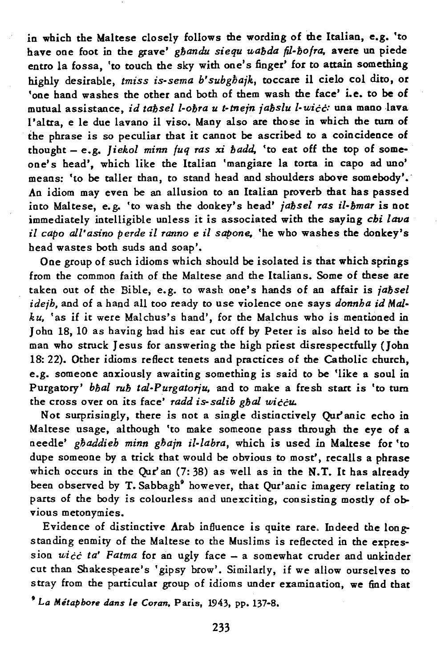in which the Maltese closely follows the wording of the Italian, e.g. 'to have one foot in the grave' *gbandu siequ uabda (J-bofra,* avere un piede entro la fossa, 'to touch the sky with one's finger' for to attain something highly desirable, *tmiss is-sema b'subgbajk,* toccare il cielo col dito, or 'one hand washes the other and both of them wash the face' i.e. to be of mutual assistance, *id tabsel l-obra u t-tnejn jabslu l-wicc:* una mano lava 1 'altra, e le due lavano il viso. Many also are those in which the turn of the phrase is so peculiar that it cannot be ascribed to a coincidence of thought - e.g. *Jiekol minn fuq ras* xi *badd,* 'to eat off the top of someone's head', which like the Italian 'mangiare la torta in capo ad uno' means: 'to be taller than, to stand head and shoulders above somebody'.' An idiom may even be an allusion to an Italian proverb that has passed into Maltese, e. g. 'to wash the donkey's head' *jabsel ras il-bmar* is not immediately intelligible unless it is associated with the saying *cbi lava il capo all'asino perde* if *ranno e* il *sapone.* 'he who washes the donkey's head wastes both suds and soap'.

One group of such idioms which should be isolated is that which springs from the common faith of the Maltese and the Italians. Some of these are taken out of the Bible, e.g. to wash one's hands of an affair is *jabsel*  ideib, and of a hand all too ready to use violence one says *donnha id Malku,* 'as if it were Malchus's hand', for the Malchus who is mentioned in John 18, 10 as having had his ear cut off by Peter is also held to be the man who struck Jesus for answering the high priest disrespectfully (Jobn 18: 22). Other idioms reflect tenets and practices of the Catholic church, e.g. someone anxiously awaiting something is said to be 'like a soul in Purgatory' *bbal rub tal-Purgatorju,* and to make a fresh start is 'to turn the cross over on its face' *radd is-salib gbal wiccu.* 

Not surprisingly, there is not a single distinctively Qur'anic echo in Maltese usage, although 'to make someone pass through the eye of a needle' *gbaddieh minn gbajn il-labra,* which is used in Maltese for 'to dupe someone by a trick that would be obvious to most', recalls a phrase which occurs in the Our' an  $(7:38)$  as well as in the N.T. It has already been observed by T. Sabbagh' however, that Qur'anic imagery relating to parts of the body is colourless and unexciting, consisting mostly of obvious metonymies.

Evidence of distinctive Arab influence is quite rare, Indeed the longstanding enmity of the Maltese to the Muslims is reflected in the expres $s$ ion  $wic\ c\ ta'$  Fatma for an ugly face  $-$  a somewhat cruder and unkinder cut than Shakespeare's 'gipsy brow'. Similarly, if we allow ourselves to stray from the particular group of idioms under examination, we find that

<sup>9</sup>*La Mitapbore dans le Coran.* Paris, 1943, pp. 137-8.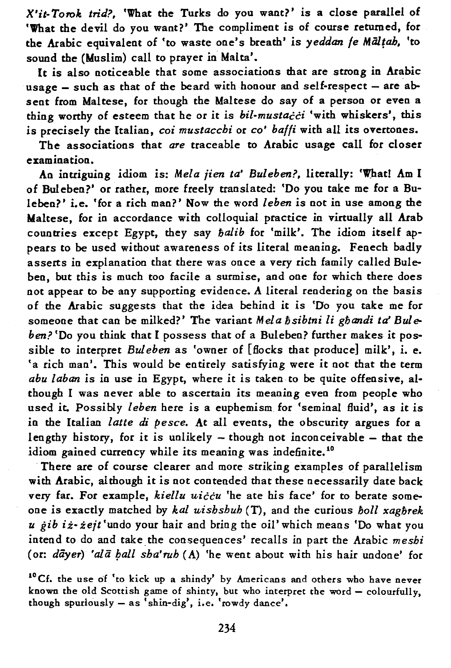*X'it- T070k trid?,* 'What the Turks do you want?' is a close parallel of 'What the devil do you want?' The compliment is of course returned, for the Arabic equivalent of 'to waste one's breath' is *yeddan le Miillah,* 'to sound the (Muslim) call to prayer in Malta'.

It is also noticeable that some associations that are strong in Arabic usage  $-$  such as that of the beard with honour and self-respect  $-$  are absent from Maltese, for though the Maltese do say of a person or even a thing worthy of esteem that he or it is *bil-mustacci* 'with whiskers', this is precisely the Italian, *coi mustaccbi* or *co' balfi* with all its overtones.

The associations that *are* traceable to Arabic usage call for closer examination.

An intriguing idiom is: *Mela jien ta' Buleben?,* literally: 'Whatl Am I of Buleben?' or rather, more freely translated: 'Do you take me for a Buleben?' i.e. 'for a rich man?' Now the word *leben* is not in use among the Maltese, for in accordance with colloquial practice in virtually all Arab countries except Egypt, they say *halib* for 'milk'. The idiom itself appears to be used without awareness of its literal meaning. Fenech badly asserts in explanation that there was once a very rich family called Buleben, but this is much too facile a surmise, and one for which there does not appear to be any supporting evidence. A literal rendering on the basis of the Arabic suggests that the idea behind it is 'Do you take me for someone that can be milked?' The variant *Mela bsibtni* li *ghandi ta' Buleben?* 'Do you think that I possess that of a Buleben? further makes it possible to interpret *Bul eben* as 'owner of [flocks that produce] milk', i. e. 'a rich man'. This would be entirely satisfying were it not that the term *abu laban* is in use in Egypt, where it is taken to be quite offensive, although I was never able to ascertain its meaning even from people who used it. Possibly *leben* here is a euphemism for 'seminal fluid', as it is in the Italian *latte di pesce.* At all events, the obscurity argues for a lengthy history, for it is unlikely  $-$  though not inconceivable  $-$  that the idiom gained currency while its meaning was indefinite.<sup>10</sup>

There are of course clearer and more striking examples of parallelism with Arabic, although it is not contended that these necessarily date back very far. For example, *kiellu uiccu* 'he ate his face' for to berate someone is exactly matched by *kal u,ishshuh* (T), and the curious *boll xaghrek u gib iz-zejt* 'undo your hair and bring the oil' which means 'Do what you intend to do and take. the consequences' recalls in part the Arabic *meshi*  (or: *dayer*) 'ala *ball sha'rub* (A) 'he went about with his hair undone' for

<sup>10</sup>Cf. the use of 'to kick up a shindy' by Americans and others who have never known the old Scottish game of shinty, but who interpret the word - colourfully, though spuriously  $-$  as 'shin-dig', i.e. 'rowdy dance'.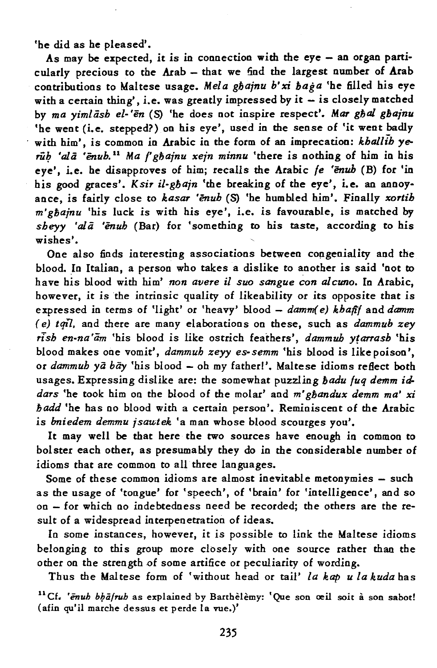'he did as he pleased'.

As may be expected, it is in connection with the eye  $-$  an organ particularly precious to the Arab  $-$  that we find the largest number of Arab contributions to Maltese usage. *Mela gbajnu b' xi baga* 'he filled his eye with a certain thing', i.e. was greatly impressed by it  $-$  is closely matched by *ma yimlash el-'en* (S) 'he does not inspire respect'. *MaT gbal gbajnu*  'he went (i.e. stepped?) on his eye', used in the sense of 'it went badly with him', is common in Arabic in the form of an imprecation: *khallib* yerub 'ala 'enub.<sup>11</sup> Ma *f*' *gbainu xein minnu* 'there is nothing of him in his eye'. i.e. he disapproves of him; recalls the Arabic *fe 'enuh* (B) for 'in his good graces'. *Ksir il-gbajn* 'the breaking of the eye', i.e. an annoyance, is fairly close to *kasar 'enuh* (S) 'he humbled him'. Finally *xortih m'ghajnu* 'his luck is with his eye', i.e. is favourable, is matched by *sheyy 'ala 'enuh* (Bar) for 'something to his taste, according to his wishes'.

One also finds interesting associations between congeniality and the blood. In Italian, a person who takes a dislike to another is said 'not to have his blood with him' *non avere* il *suo sangue con alCU7Jo.* In Arabic, however, it is the intrinsic quality of likeability or its opposite that is expressed in terms of 'light' or 'heavy' blood - *damm(e)* khafif and *damm (e) tqi7.* and there are many elaborations on these, such as *dammub zey rlsh en-na 'am* 'his blood is like ostrich feathers', *dammuh ytarrasb* 'his blood makes one vomit', *dammuh zeyy es-semm* 'his blood is like poison', or *dammuh ya* bay 'his blood - oh my fatherl'. Maltese idioms reflect both usages. Expressing dislike are: the somewhat puzzling *hadu fuq demm iddars* 'he took him on the blood of the molar' and m' *ghandux demm ma' xi hadd* 'he has no blood with a certain person'. Reminiscent of the Arabic is *bniedem demmu jsawtek* 'a man whose blood scourges you'.

It may well be that here the two sources have enough in common to bolster each other, as presumably they do in the considerable number of idioms that are common to all three languages.

Some of these common idioms are almost inevitable metonymies - such as the usage of 'tongue' for 'speech', of 'brain' for 'intelligence', and so on - for which no indebtedness need be recorded; the others are the result of a widespread interpenetration of ideas.

In some instances, however, it is possible to link the Maltese idioms belonging to this group more closely with one Source rather than the other on the strength of some artifice or peculiarity of wording.

Thus the Maltese form of 'without head or tail' *la kap u la kuda* has

<sup>11</sup> Cf. '*enuh bhalruh* as explained by Barthelemy: 'Que son œil soit à son sabot! (afin qu'il marche dessus et perde la vue.)'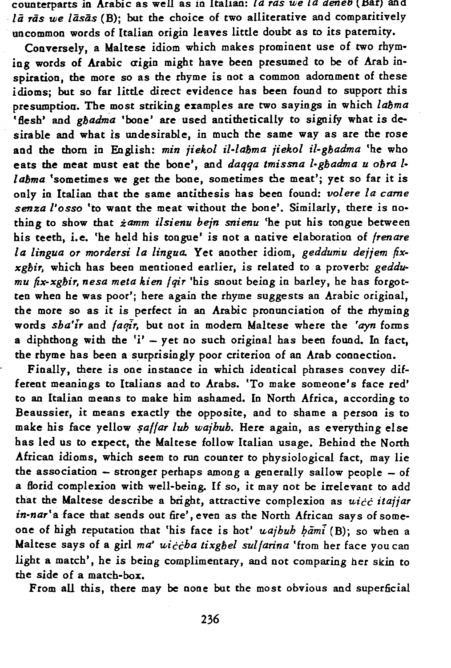counterparts in Arabic as well as in ltal1an: *la ras we la aeneb* (.Har) and lā rās we lāsās (B); but the choice of two alliterative and comparitively uncommon words of Italian origin leaves little doubt as to its paternity.

Conversely, a Maltese idiom which makes prominent use of two rhyming words of Arabic aigin might have been presumed to be of Arab inspiration, the more so as the rhyme is not a common adornment of these idioms; but so far little direct evidence has been found to support this presumption. The most striking examples are two sayings in which *labma*  'flesh' and *gbadma* 'bone' are used antithetically to signify what is desirable and what is undesirable, in much the same way as are the rose and the thorn in English: *min jiekol il-labma jiekol il-gbadma* 'he who eats the meat must eat the bone', and *daqqa tmissna l-gbadma u obra 1 labma* 'sometimes we get the bone, sometimes the meat'; yet so far it is only in Italian that the same antithesis has been found: *volere la came senza l'osso* 'to want the meat without the bone'. Similarly, there is nothing to show that *zamm ilsienu bejn snienu* 'he put his tongue between his teeth, i.e. 'he held his tongue' is not a native elaboration of *frenare la lingua* or *mordersi la lingua.* Yet another idiom, *geddumu dejjem fixxgbir,* which has been mentioned earlier, is related to a proverb: *geddumu fix-xgbir, nesa meta kien fqir* 'his snout being in barley, he has forgotten when he was poor'; here again the rhyme suggests an Arabic original, the more so as it is perfect in an Arabic pronunciation of the rhyming words *sha'lr* and *faqlr,* but not in modem Maltese where the *'ayn* forms a diphthong with the  $i'$  - yet no such original has been found. In fact, the rhyme has been a surprisingly poor criterion of an Arab connection.

Finally, there is one instance in which identical phrases convey different meanings to Italians and to Arabs. 'To make someone's face red' to an Italian means to make him ashamed. In North Africa, according to Beaussier, it means exactly the opposite, and to shame a person is to make his face yellow *saffar lub wajhuh*. Here again, as everything else has led us to expect, the Maltese follow Italian usage. Behind the North African idioms, which seem to run counter to physiological fact, may lie the association  $-$  stronger perhaps among a generally sallow people  $-$  of a florid complexion with well-being. If so, it may not be irrelevant to add that the Maltese describe a bright, attractive complexion as *uicc itajjar in-nar'a* face that sends out fire', even as the North African says of someone of high reputation that 'his face is hot' *uajhuh hāmi* (B); so when a Maltese says of a girl ma' uiccha tixghel sulfarina 'from her face you can light a match', he is being complimentary, and not comparing her skin to the *side* of a match-box.

From all this, there may be none but the most obvious and superficial